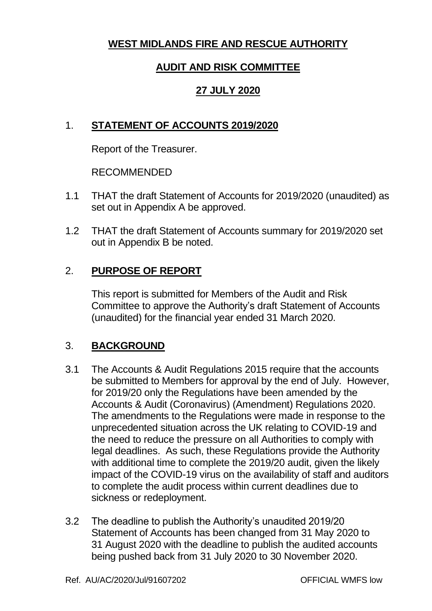# **WEST MIDLANDS FIRE AND RESCUE AUTHORITY**

## **AUDIT AND RISK COMMITTEE**

## **27 JULY 2020**

# 1. **STATEMENT OF ACCOUNTS 2019/2020**

Report of the Treasurer.

RECOMMENDED

- 1.1 THAT the draft Statement of Accounts for 2019/2020 (unaudited) as set out in Appendix A be approved.
- 1.2 THAT the draft Statement of Accounts summary for 2019/2020 set out in Appendix B be noted.

# 2. **PURPOSE OF REPORT**

This report is submitted for Members of the Audit and Risk Committee to approve the Authority's draft Statement of Accounts (unaudited) for the financial year ended 31 March 2020.

## 3. **BACKGROUND**

- 3.1 The Accounts & Audit Regulations 2015 require that the accounts be submitted to Members for approval by the end of July. However, for 2019/20 only the Regulations have been amended by the Accounts & Audit (Coronavirus) (Amendment) Regulations 2020. The amendments to the Regulations were made in response to the unprecedented situation across the UK relating to COVID-19 and the need to reduce the pressure on all Authorities to comply with legal deadlines. As such, these Regulations provide the Authority with additional time to complete the 2019/20 audit, given the likely impact of the COVID-19 virus on the availability of staff and auditors to complete the audit process within current deadlines due to sickness or redeployment.
- 3.2 The deadline to publish the Authority's unaudited 2019/20 Statement of Accounts has been changed from 31 May 2020 to 31 August 2020 with the deadline to publish the audited accounts being pushed back from 31 July 2020 to 30 November 2020.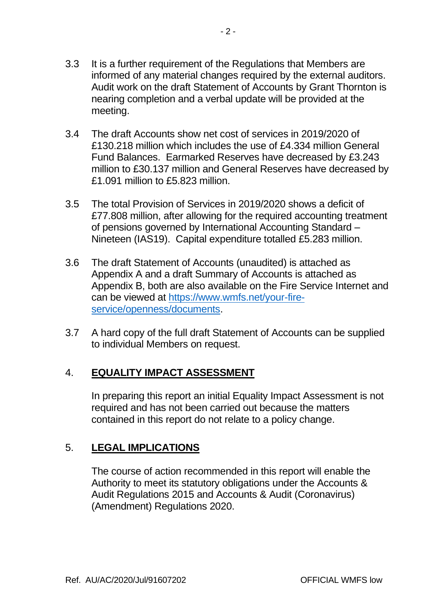- 3.3 It is a further requirement of the Regulations that Members are informed of any material changes required by the external auditors. Audit work on the draft Statement of Accounts by Grant Thornton is nearing completion and a verbal update will be provided at the meeting.
- 3.4 The draft Accounts show net cost of services in 2019/2020 of £130.218 million which includes the use of £4.334 million General Fund Balances. Earmarked Reserves have decreased by £3.243 million to £30.137 million and General Reserves have decreased by £1.091 million to £5.823 million.
- 3.5 The total Provision of Services in 2019/2020 shows a deficit of £77.808 million, after allowing for the required accounting treatment of pensions governed by International Accounting Standard – Nineteen (IAS19). Capital expenditure totalled £5.283 million.
- 3.6 The draft Statement of Accounts (unaudited) is attached as Appendix A and a draft Summary of Accounts is attached as Appendix B, both are also available on the Fire Service Internet and can be viewed at [https://www.wmfs.net/your-fire](https://www.wmfs.net/your-fire-service/openness/documents)[service/openness/documents.](https://www.wmfs.net/your-fire-service/openness/documents)
- 3.7 A hard copy of the full draft Statement of Accounts can be supplied to individual Members on request.

## 4. **EQUALITY IMPACT ASSESSMENT**

In preparing this report an initial Equality Impact Assessment is not required and has not been carried out because the matters contained in this report do not relate to a policy change.

## 5. **LEGAL IMPLICATIONS**

The course of action recommended in this report will enable the Authority to meet its statutory obligations under the Accounts & Audit Regulations 2015 and Accounts & Audit (Coronavirus) (Amendment) Regulations 2020.